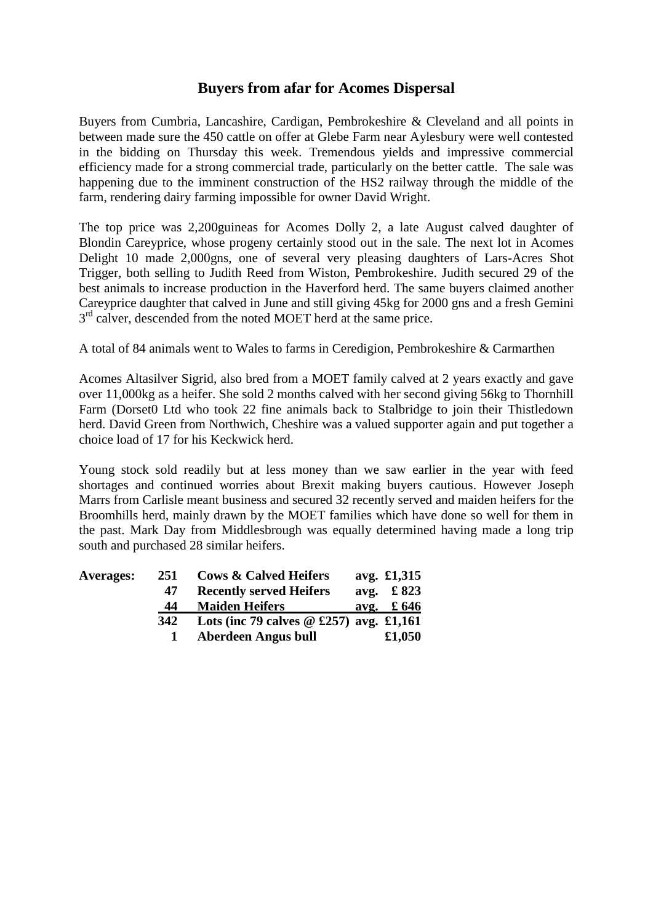## **Buyers from afar for Acomes Dispersal**

Buyers from Cumbria, Lancashire, Cardigan, Pembrokeshire & Cleveland and all points in between made sure the 450 cattle on offer at Glebe Farm near Aylesbury were well contested in the bidding on Thursday this week. Tremendous yields and impressive commercial efficiency made for a strong commercial trade, particularly on the better cattle. The sale was happening due to the imminent construction of the HS2 railway through the middle of the farm, rendering dairy farming impossible for owner David Wright.

The top price was 2,200guineas for Acomes Dolly 2, a late August calved daughter of Blondin Careyprice, whose progeny certainly stood out in the sale. The next lot in Acomes Delight 10 made 2,000gns, one of several very pleasing daughters of Lars-Acres Shot Trigger, both selling to Judith Reed from Wiston, Pembrokeshire. Judith secured 29 of the best animals to increase production in the Haverford herd. The same buyers claimed another Careyprice daughter that calved in June and still giving 45kg for 2000 gns and a fresh Gemini 3<sup>rd</sup> calver, descended from the noted MOET herd at the same price.

A total of 84 animals went to Wales to farms in Ceredigion, Pembrokeshire & Carmarthen

Acomes Altasilver Sigrid, also bred from a MOET family calved at 2 years exactly and gave over 11,000kg as a heifer. She sold 2 months calved with her second giving 56kg to Thornhill Farm (Dorset0 Ltd who took 22 fine animals back to Stalbridge to join their Thistledown herd. David Green from Northwich, Cheshire was a valued supporter again and put together a choice load of 17 for his Keckwick herd.

Young stock sold readily but at less money than we saw earlier in the year with feed shortages and continued worries about Brexit making buyers cautious. However Joseph Marrs from Carlisle meant business and secured 32 recently served and maiden heifers for the Broomhills herd, mainly drawn by the MOET families which have done so well for them in the past. Mark Day from Middlesbrough was equally determined having made a long trip south and purchased 28 similar heifers.

| <b>Averages:</b> | 251 | <b>Cows &amp; Calved Heifers</b>          | avg. £1,315               |
|------------------|-----|-------------------------------------------|---------------------------|
|                  | 47  | <b>Recently served Heifers</b>            | avg. $\text{\pounds} 823$ |
|                  | 44  | <b>Maiden Heifers</b>                     | avg. $\text{\pounds} 646$ |
|                  | 342 | Lots (inc 79 calves $@$ £257) avg. £1,161 |                           |
|                  |     | Aberdeen Angus bull                       | £1,050                    |